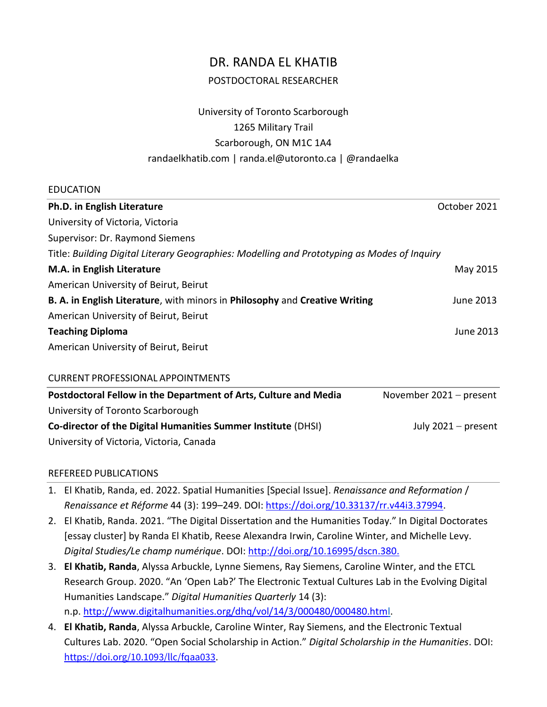# DR. RANDA EL KHATIB POSTDOCTORAL RESEARCHER

# University of Toronto Scarborough 1265 Military Trail Scarborough, ON M1C 1A4 randaelkhatib.com | randa.el@utoronto.ca | @randaelka

#### EDUCATION

| Ph.D. in English Literature                                                                 | October 2021 |
|---------------------------------------------------------------------------------------------|--------------|
| University of Victoria, Victoria                                                            |              |
| Supervisor: Dr. Raymond Siemens                                                             |              |
| Title: Building Digital Literary Geographies: Modelling and Prototyping as Modes of Inguiry |              |
| M.A. in English Literature                                                                  | May 2015     |
| American University of Beirut, Beirut                                                       |              |
| B. A. in English Literature, with minors in Philosophy and Creative Writing                 | June 2013    |
| American University of Beirut, Beirut                                                       |              |
| <b>Teaching Diploma</b>                                                                     | June 2013    |
| American University of Beirut, Beirut                                                       |              |
|                                                                                             |              |

#### CURRENT PROFESSIONAL APPOINTMENTS

| Postdoctoral Fellow in the Department of Arts, Culture and Media | November $2021 - present$ |
|------------------------------------------------------------------|---------------------------|
| University of Toronto Scarborough                                |                           |
| Co-director of the Digital Humanities Summer Institute (DHSI)    | July $2021 - present$     |
| University of Victoria, Victoria, Canada                         |                           |

# REFEREED PUBLICATIONS

- 1. El Khatib, Randa, ed. 2022. Spatial Humanities [Special Issue]. *Renaissance and Reformation* / *Renaissance et Réforme* 44 (3): 199–249. DOI: [https://doi.org/10.33137/rr.v44i3.37994.](https://doi.org/10.33137/rr.v44i3.37994)
- 2. El Khatib, Randa. 2021. "The Digital Dissertation and the Humanities Today." In Digital Doctorates [essay cluster] by Randa El Khatib, Reese Alexandra Irwin, Caroline Winter, and Michelle Levy. *Digital Studies/Le champ numérique*. DOI: [http://doi.org/10.16995/dscn.380.](http://doi.org/10.16995/dscn.380)
- 3. **El Khatib, Randa**, Alyssa Arbuckle, Lynne Siemens, Ray Siemens, Caroline Winter, and the ETCL Research Group. 2020. "An 'Open Lab?' The Electronic Textual Cultures Lab in the Evolving Digital Humanities Landscape." *Digital Humanities Quarterly* 14 (3): n.p. [http://www.digitalhumanities.org/dhq/vol/14/3/000480/000480.html.](http://www.digitalhumanities.org/dhq/vol/14/3/000480/000480.html)
- 4. **El Khatib, Randa**, Alyssa Arbuckle, Caroline Winter, Ray Siemens, and the Electronic Textual Cultures Lab. 2020. "Open Social Scholarship in Action." *Digital Scholarship in the Humanities*. DOI: <https://doi.org/10.1093/llc/fqaa033>.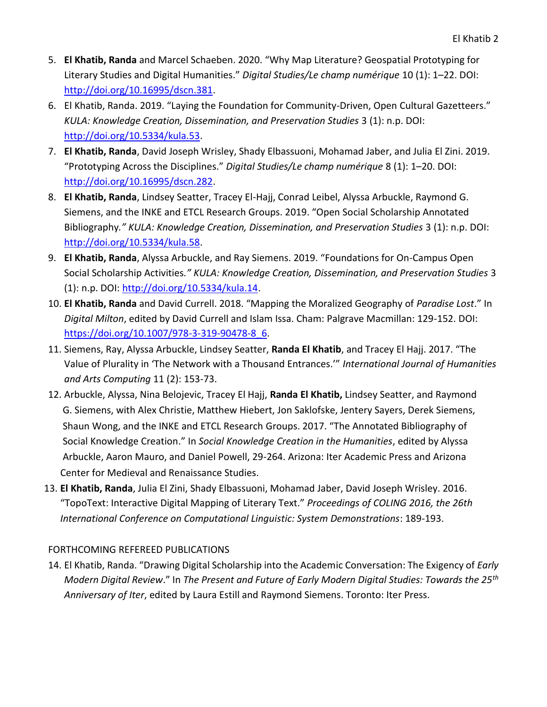- 5. **El Khatib, Randa** and Marcel Schaeben. 2020. "Why Map Literature? Geospatial Prototyping for Literary Studies and Digital Humanities." *Digital Studies/Le champ numérique* 10 (1): 1–22. DOI: [http://doi.org/10.16995/dscn.381.](http://doi.org/10.16995/dscn.381)
- 6. El Khatib, Randa. 2019. "Laying the Foundation for Community-Driven, Open Cultural Gazetteers." *KULA: Knowledge Creation, Dissemination, and Preservation Studies* 3 (1): n.p. DOI: [http://doi.org/10.5334/kula.53.](http://doi.org/10.5334/kula.53)
- 7. **El Khatib, Randa**, David Joseph Wrisley, Shady Elbassuoni, Mohamad Jaber, and Julia El Zini. 2019. "Prototyping Across the Disciplines." *Digital Studies/Le champ numérique* 8 (1): 1–20. DOI: [http://doi.org/10.16995/dscn.282.](http://doi.org/10.16995/dscn.282)
- 8. **El Khatib, Randa**, Lindsey Seatter, Tracey El-Hajj, Conrad Leibel, Alyssa Arbuckle, Raymond G. Siemens, and the INKE and ETCL Research Groups. 2019. "Open Social Scholarship Annotated Bibliography*." KULA: Knowledge Creation, Dissemination, and Preservation Studies* 3 (1): n.p. DOI: [http://doi.org/10.5334/kula.58.](http://doi.org/10.5334/kula.58)
- 9. **El Khatib, Randa**, Alyssa Arbuckle, and Ray Siemens. 2019. "Foundations for On-Campus Open Social Scholarship Activities*." KULA: Knowledge Creation, Dissemination, and Preservation Studies* 3 (1): n.p. DOI: [http://doi.org/10.5334/kula.14.](http://doi.org/10.5334/kula.14)
- 10. **El Khatib, Randa** and David Currell. 2018. "Mapping the Moralized Geography of *Paradise Lost*." In *Digital Milton*, edited by David Currell and Islam Issa. Cham: Palgrave Macmillan: 129-152. DOI: [https://doi.org/10.1007/978-3-319-90478-8\\_6.](https://doi.org/10.1007/978-3-319-90478-8_6)
- 11. Siemens, Ray, Alyssa Arbuckle, Lindsey Seatter, **Randa El Khatib**, and Tracey El Hajj. 2017. "The Value of Plurality in 'The Network with a Thousand Entrances.'" *International Journal of Humanities and Arts Computing* 11 (2): 153-73.
- 12. Arbuckle, Alyssa, Nina Belojevic, Tracey El Hajj, **Randa El Khatib,** Lindsey Seatter, and Raymond G. Siemens, with Alex Christie, Matthew Hiebert, Jon Saklofske, Jentery Sayers, Derek Siemens, Shaun Wong, and the INKE and ETCL Research Groups. 2017. "The Annotated Bibliography of Social Knowledge Creation." In *Social Knowledge Creation in the Humanities*, edited by Alyssa Arbuckle, Aaron Mauro, and Daniel Powell, 29-264. Arizona: Iter Academic Press and Arizona Center for Medieval and Renaissance Studies.
- 13. **El Khatib, Randa**, Julia El Zini, Shady Elbassuoni, Mohamad Jaber, David Joseph Wrisley. 2016. "TopoText: Interactive Digital Mapping of Literary Text." *Proceedings of COLING 2016, the 26th International Conference on Computational Linguistic: System Demonstrations*: 189-193.

# FORTHCOMING REFEREED PUBLICATIONS

14. El Khatib, Randa. "Drawing Digital Scholarship into the Academic Conversation: The Exigency of *Early Modern Digital Review*." In *The Present and Future of Early Modern Digital Studies: Towards the 25th Anniversary of Iter*, edited by Laura Estill and Raymond Siemens. Toronto: Iter Press.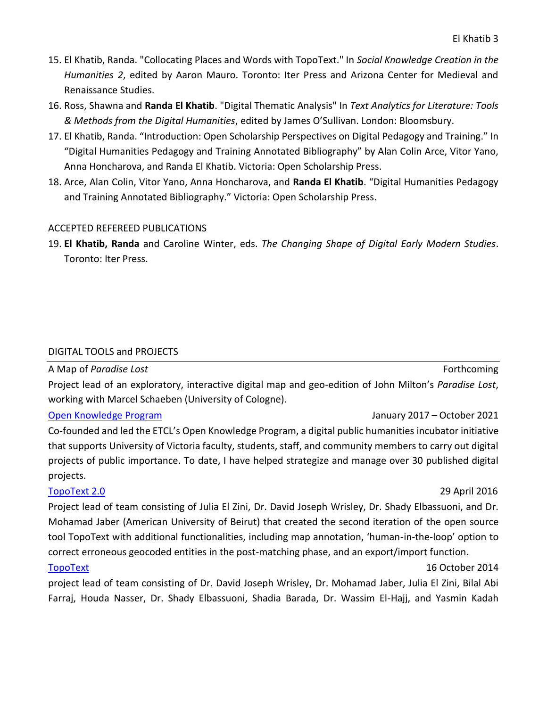- 15. El Khatib, Randa. "Collocating Places and Words with TopoText." In *Social Knowledge Creation in the Humanities 2*, edited by Aaron Mauro. Toronto: Iter Press and Arizona Center for Medieval and Renaissance Studies.
- 16. Ross, Shawna and **Randa El Khatib**. "Digital Thematic Analysis" In *Text Analytics for Literature: Tools & Methods from the Digital Humanities*, edited by James O'Sullivan. London: Bloomsbury.
- 17. El Khatib, Randa. "Introduction: Open Scholarship Perspectives on Digital Pedagogy and Training." In "Digital Humanities Pedagogy and Training Annotated Bibliography" by Alan Colin Arce, Vitor Yano, Anna Honcharova, and Randa El Khatib. Victoria: Open Scholarship Press.
- 18. Arce, Alan Colin, Vitor Yano, Anna Honcharova, and **Randa El Khatib**. "Digital Humanities Pedagogy and Training Annotated Bibliography." Victoria: Open Scholarship Press.

#### ACCEPTED REFEREED PUBLICATIONS

19. **El Khatib, Randa** and Caroline Winter, eds. *The Changing Shape of Digital Early Modern Studies*. Toronto: Iter Press.

#### DIGITAL TOOLS and PROJECTS

# [A Map](https://olvidalo.github.io/paradise-lost/) of *Paradise Lost* Forthcoming **Forthcoming Forthcoming** Project lead of an exploratory, interactive digital map and geo-edition of John Milton's *Paradise Lost*, working with Marcel Schaeben (University of Cologne).

# [Open Knowledge Program](https://etcl.uvic.ca/okp/) January 2017 – October 2021

Co-founded and led the ETCL's Open Knowledge Program, a digital public humanities incubator initiative that supports University of Victoria faculty, students, staff, and community members to carry out digital projects of public importance. To date, I have helped strategize and manage over 30 published digital projects.

Project lead of team consisting of Julia El Zini, Dr. David Joseph Wrisley, Dr. Shady Elbassuoni, and Dr. Mohamad Jaber (American University of Beirut) that created the second iteration of the open source tool TopoText with additional functionalities, including map annotation, 'human-in-the-loop' option to correct erroneous geocoded entities in the post-matching phase, and an export/import function.

#### [TopoText](https://github.com/rkhatib/topotext) 16 October 2014

project lead of team consisting of Dr. David Joseph Wrisley, Dr. Mohamad Jaber, Julia El Zini, Bilal Abi Farraj, Houda Nasser, Dr. Shady Elbassuoni, Shadia Barada, Dr. Wassim El-Hajj, and Yasmin Kadah

#### [TopoText 2.0](https://github.com/rkhatib/topotext/tree/v2) 29 April 2016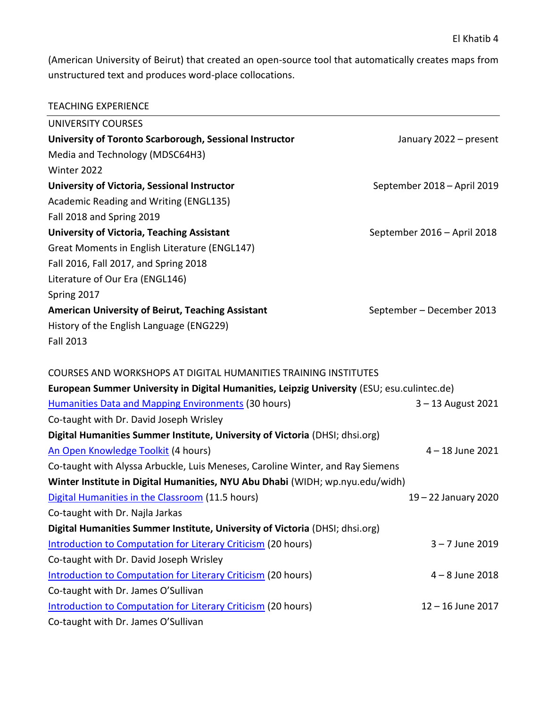(American University of Beirut) that created an open-source tool that automatically creates maps from unstructured text and produces word-place collocations.

| UNIVERSITY COURSES                                                                          |                             |
|---------------------------------------------------------------------------------------------|-----------------------------|
| University of Toronto Scarborough, Sessional Instructor                                     | January 2022 - present      |
| Media and Technology (MDSC64H3)                                                             |                             |
| Winter 2022                                                                                 |                             |
| University of Victoria, Sessional Instructor                                                | September 2018 - April 2019 |
| Academic Reading and Writing (ENGL135)                                                      |                             |
| Fall 2018 and Spring 2019                                                                   |                             |
| <b>University of Victoria, Teaching Assistant</b>                                           | September 2016 - April 2018 |
| Great Moments in English Literature (ENGL147)                                               |                             |
| Fall 2016, Fall 2017, and Spring 2018                                                       |                             |
| Literature of Our Era (ENGL146)                                                             |                             |
| Spring 2017                                                                                 |                             |
| <b>American University of Beirut, Teaching Assistant</b>                                    | September - December 2013   |
| History of the English Language (ENG229)                                                    |                             |
| <b>Fall 2013</b>                                                                            |                             |
|                                                                                             |                             |
| <b>COURSES AND WORKSHOPS AT DIGITAL HUMANITIES TRAINING INSTITUTES</b>                      |                             |
| European Summer University in Digital Humanities, Leipzig University (ESU; esu.culintec.de) |                             |
| <b>Humanities Data and Mapping Environments (30 hours)</b>                                  | $3 - 13$ August 2021        |
| Co-taught with Dr. David Joseph Wrisley                                                     |                             |
| Digital Humanities Summer Institute, University of Victoria (DHSI; dhsi.org)                |                             |
| An Open Knowledge Toolkit (4 hours)                                                         | 4-18 June 2021              |
| Co-taught with Alyssa Arbuckle, Luis Meneses, Caroline Winter, and Ray Siemens              |                             |
| Winter Institute in Digital Humanities, NYU Abu Dhabi (WIDH; wp.nyu.edu/widh)               |                             |
| Digital Humanities in the Classroom (11.5 hours)                                            | 19 – 22 January 2020        |
| Co-taught with Dr. Najla Jarkas                                                             |                             |
| Digital Humanities Summer Institute, University of Victoria (DHSI; dhsi.org)                |                             |
| Introduction to Computation for Literary Criticism (20 hours)                               | $3 - 7$ June 2019           |
| Co-taught with Dr. David Joseph Wrisley                                                     |                             |
| <b>Introduction to Computation for Literary Criticism (20 hours)</b>                        | $4 - 8$ June 2018           |
| Co-taught with Dr. James O'Sullivan                                                         |                             |
| <b>Introduction to Computation for Literary Criticism (20 hours)</b>                        | $12 - 16$ June 2017         |
| Co-taught with Dr. James O'Sullivan                                                         |                             |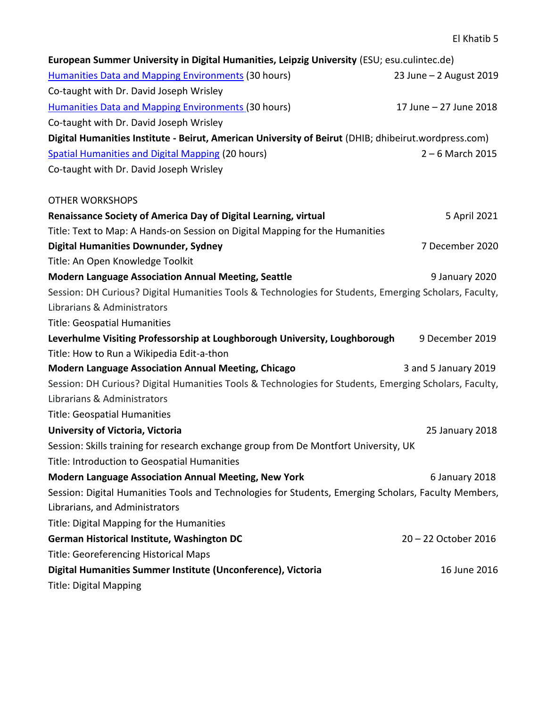| European Summer University in Digital Humanities, Leipzig University (ESU; esu.culintec.de)            |                         |
|--------------------------------------------------------------------------------------------------------|-------------------------|
| <b>Humanities Data and Mapping Environments (30 hours)</b>                                             | 23 June - 2 August 2019 |
| Co-taught with Dr. David Joseph Wrisley                                                                |                         |
| <b>Humanities Data and Mapping Environments (30 hours)</b>                                             | 17 June - 27 June 2018  |
| Co-taught with Dr. David Joseph Wrisley                                                                |                         |
| Digital Humanities Institute - Beirut, American University of Beirut (DHIB; dhibeirut.wordpress.com)   |                         |
| <b>Spatial Humanities and Digital Mapping (20 hours)</b>                                               | $2 - 6$ March 2015      |
| Co-taught with Dr. David Joseph Wrisley                                                                |                         |
| <b>OTHER WORKSHOPS</b>                                                                                 |                         |
| Renaissance Society of America Day of Digital Learning, virtual                                        | 5 April 2021            |
| Title: Text to Map: A Hands-on Session on Digital Mapping for the Humanities                           |                         |
| <b>Digital Humanities Downunder, Sydney</b>                                                            | 7 December 2020         |
| Title: An Open Knowledge Toolkit                                                                       |                         |
| <b>Modern Language Association Annual Meeting, Seattle</b>                                             | 9 January 2020          |
| Session: DH Curious? Digital Humanities Tools & Technologies for Students, Emerging Scholars, Faculty, |                         |
| Librarians & Administrators                                                                            |                         |
| <b>Title: Geospatial Humanities</b>                                                                    |                         |
| Leverhulme Visiting Professorship at Loughborough University, Loughborough                             | 9 December 2019         |
| Title: How to Run a Wikipedia Edit-a-thon                                                              |                         |
| <b>Modern Language Association Annual Meeting, Chicago</b>                                             | 3 and 5 January 2019    |
| Session: DH Curious? Digital Humanities Tools & Technologies for Students, Emerging Scholars, Faculty, |                         |
| Librarians & Administrators                                                                            |                         |
| <b>Title: Geospatial Humanities</b>                                                                    |                         |
| University of Victoria, Victoria                                                                       | 25 January 2018         |
| Session: Skills training for research exchange group from De Montfort University, UK                   |                         |
| Title: Introduction to Geospatial Humanities                                                           |                         |
| <b>Modern Language Association Annual Meeting, New York</b>                                            | 6 January 2018          |
| Session: Digital Humanities Tools and Technologies for Students, Emerging Scholars, Faculty Members,   |                         |
| Librarians, and Administrators                                                                         |                         |
| Title: Digital Mapping for the Humanities                                                              |                         |
| German Historical Institute, Washington DC                                                             | 20 - 22 October 2016    |
| <b>Title: Georeferencing Historical Maps</b>                                                           |                         |
| Digital Humanities Summer Institute (Unconference), Victoria                                           | 16 June 2016            |
| <b>Title: Digital Mapping</b>                                                                          |                         |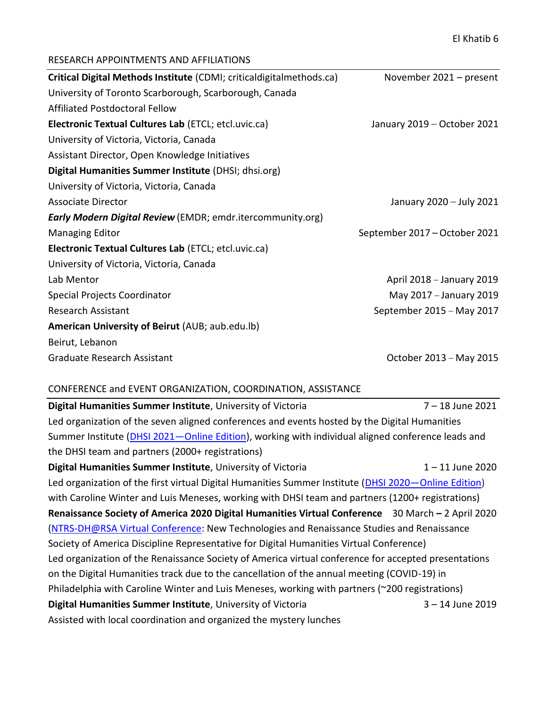# RESEARCH APPOINTMENTS AND AFFILIATIONS

| Critical Digital Methods Institute (CDMI; criticaldigitalmethods.ca) | November 2021 – present       |
|----------------------------------------------------------------------|-------------------------------|
| University of Toronto Scarborough, Scarborough, Canada               |                               |
| Affiliated Postdoctoral Fellow                                       |                               |
| Electronic Textual Cultures Lab (ETCL; etcl.uvic.ca)                 | January 2019 – October 2021   |
| University of Victoria, Victoria, Canada                             |                               |
| Assistant Director, Open Knowledge Initiatives                       |                               |
| Digital Humanities Summer Institute (DHSI; dhsi.org)                 |                               |
| University of Victoria, Victoria, Canada                             |                               |
| Associate Director                                                   | January 2020 - July 2021      |
| <b>Early Modern Digital Review</b> (EMDR; emdr.itercommunity.org)    |                               |
| <b>Managing Editor</b>                                               | September 2017 – October 2021 |
| Electronic Textual Cultures Lab (ETCL; etcl.uvic.ca)                 |                               |
| University of Victoria, Victoria, Canada                             |                               |
| Lab Mentor                                                           | April 2018 - January 2019     |
| Special Projects Coordinator                                         | May 2017 - January 2019       |
| <b>Research Assistant</b>                                            | September 2015 - May 2017     |
| American University of Beirut (AUB; aub.edu.lb)                      |                               |
| Beirut, Lebanon                                                      |                               |
| Graduate Research Assistant                                          | October 2013 - May 2015       |

# CONFERENCE and EVENT ORGANIZATION, COORDINATION, ASSISTANCE

| Digital Humanities Summer Institute, University of Victoria                                          | 7 - 18 June 2021   |
|------------------------------------------------------------------------------------------------------|--------------------|
| Led organization of the seven aligned conferences and events hosted by the Digital Humanities        |                    |
| Summer Institute (DHSI 2021-Online Edition), working with individual aligned conference leads and    |                    |
| the DHSI team and partners (2000+ registrations)                                                     |                    |
| Digital Humanities Summer Institute, University of Victoria                                          | $1 - 11$ June 2020 |
| Led organization of the first virtual Digital Humanities Summer Institute (DHSI 2020—Online Edition) |                    |
| with Caroline Winter and Luis Meneses, working with DHSI team and partners (1200+ registrations)     |                    |
| Renaissance Society of America 2020 Digital Humanities Virtual Conference 30 March - 2 April 2020    |                    |
| (NTRS-DH@RSA Virtual Conference: New Technologies and Renaissance Studies and Renaissance            |                    |
| Society of America Discipline Representative for Digital Humanities Virtual Conference)              |                    |
| Led organization of the Renaissance Society of America virtual conference for accepted presentations |                    |
| on the Digital Humanities track due to the cancellation of the annual meeting (COVID-19) in          |                    |
| Philadelphia with Caroline Winter and Luis Meneses, working with partners (~200 registrations)       |                    |
| Digital Humanities Summer Institute, University of Victoria                                          | $3 - 14$ June 2019 |
| Assisted with local coordination and organized the mystery lunches                                   |                    |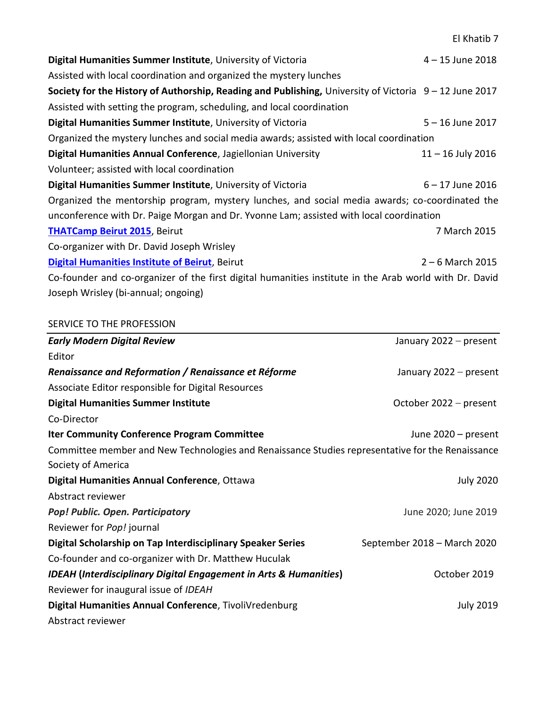**Digital Humanities Summer Institute**, University of Victoria **1998 12018** 4 – 15 June 2018 Assisted with local coordination and organized the mystery lunches **Society for the History of Authorship, Reading and Publishing,** University of Victoria 9 – 12 June 2017 Assisted with setting the program, scheduling, and local coordination **Digital Humanities Summer Institute**, University of Victoria 5 – 16 June 2017 Organized the mystery lunches and social media awards; assisted with local coordination **Digital Humanities Annual Conference**, Jagiellonian University 11 – 16 July 2016 Volunteer; assisted with local coordination **Digital Humanities Summer Institute**, University of Victoria 6 – 17 June 2016 Organized the mentorship program, mystery lunches, and social media awards; co-coordinated the unconference with Dr. Paige Morgan and Dr. Yvonne Lam; assisted with local coordination **[THATCamp Beirut 2015](http://beirut2015.thatcamp.org/)**, Beirut 7 March 2015 Co-organizer with Dr. David Joseph Wrisley **[Digital Humanities Institute of Beirut](https://dhibeirut.wordpress.com/)**, Beirut 2 – 6 March 2015 Co-founder and co-organizer of the first digital humanities institute in the Arab world with Dr. David

Joseph Wrisley (bi-annual; ongoing)

#### SERVICE TO THE PROFESSION

| <b>Early Modern Digital Review</b>                                                               | January 2022 - present      |
|--------------------------------------------------------------------------------------------------|-----------------------------|
| Editor                                                                                           |                             |
| Renaissance and Reformation / Renaissance et Réforme                                             | January 2022 - present      |
| Associate Editor responsible for Digital Resources                                               |                             |
| <b>Digital Humanities Summer Institute</b>                                                       | October 2022 – present      |
| Co-Director                                                                                      |                             |
| <b>Iter Community Conference Program Committee</b>                                               | June 2020 – present         |
| Committee member and New Technologies and Renaissance Studies representative for the Renaissance |                             |
| Society of America                                                                               |                             |
| Digital Humanities Annual Conference, Ottawa                                                     | <b>July 2020</b>            |
| Abstract reviewer                                                                                |                             |
| Pop! Public. Open. Participatory                                                                 | June 2020; June 2019        |
| Reviewer for Pop! journal                                                                        |                             |
| Digital Scholarship on Tap Interdisciplinary Speaker Series                                      | September 2018 - March 2020 |
| Co-founder and co-organizer with Dr. Matthew Huculak                                             |                             |
| <b>IDEAH (Interdisciplinary Digital Engagement in Arts &amp; Humanities)</b>                     | October 2019                |
| Reviewer for inaugural issue of IDEAH                                                            |                             |
| Digital Humanities Annual Conference, TivoliVredenburg                                           | <b>July 2019</b>            |
| Abstract reviewer                                                                                |                             |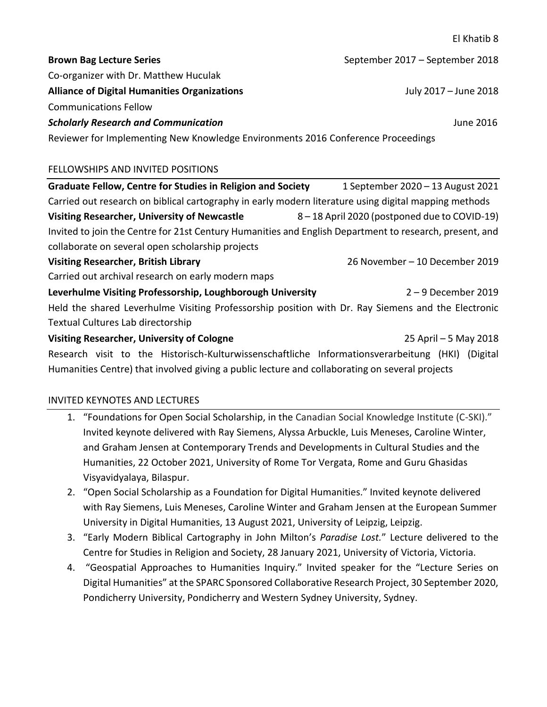El Khatib 8 **Brown Bag Lecture Series September 2017** – September 2018 Co-organizer with Dr. Matthew Huculak **Alliance of Digital Humanities Organizations** July 2017 – June 2018 Communications Fellow *Scholarly Research and Communication* June 2016 Reviewer for Implementing New Knowledge Environments 2016 Conference Proceedings FELLOWSHIPS AND INVITED POSITIONS **Graduate Fellow, Centre for Studies in Religion and Society** 1 September 2020 – 13 August 2021 Carried out research on biblical cartography in early modern literature using digital mapping methods **Visiting Researcher, University of Newcastle** 8 – 18 April 2020 (postponed due to COVID-19) Invited to join the Centre for 21st Century Humanities and English Department to research, present, and collaborate on several open scholarship projects **Visiting Researcher, British Library** 26 November – 10 December 2019 Carried out archival research on early modern maps **Leverhulme Visiting Professorship, Loughborough University** 2 – 9 December 2019 Held the shared Leverhulme Visiting Professorship position with Dr. Ray Siemens and the Electronic Textual Cultures Lab directorship **Visiting Researcher, University of Cologne** 25 April – 5 May 2018

Research visit to the Historisch-Kulturwissenschaftliche Informationsverarbeitung (HKI) (Digital Humanities Centre) that involved giving a public lecture and collaborating on several projects

# INVITED KEYNOTES AND LECTURES

- 1. "Foundations for Open Social Scholarship, in the Canadian Social Knowledge Institute (C-SKI)." Invited keynote delivered with Ray Siemens, Alyssa Arbuckle, Luis Meneses, Caroline Winter, and Graham Jensen at Contemporary Trends and Developments in Cultural Studies and the Humanities, 22 October 2021, University of Rome Tor Vergata, Rome and Guru Ghasidas Visyavidyalaya, Bilaspur.
- 2. "Open Social Scholarship as a Foundation for Digital Humanities." Invited keynote delivered with Ray Siemens, Luis Meneses, Caroline Winter and Graham Jensen at the European Summer University in Digital Humanities, 13 August 2021, University of Leipzig, Leipzig.
- 3. "Early Modern Biblical Cartography in John Milton's *Paradise Lost.*" Lecture delivered to the Centre for Studies in Religion and Society, 28 January 2021, University of Victoria, Victoria.
- 4. "Geospatial Approaches to Humanities Inquiry." Invited speaker for the "Lecture Series on Digital Humanities" at the SPARC Sponsored Collaborative Research Project, 30 September 2020, Pondicherry University, Pondicherry and Western Sydney University, Sydney.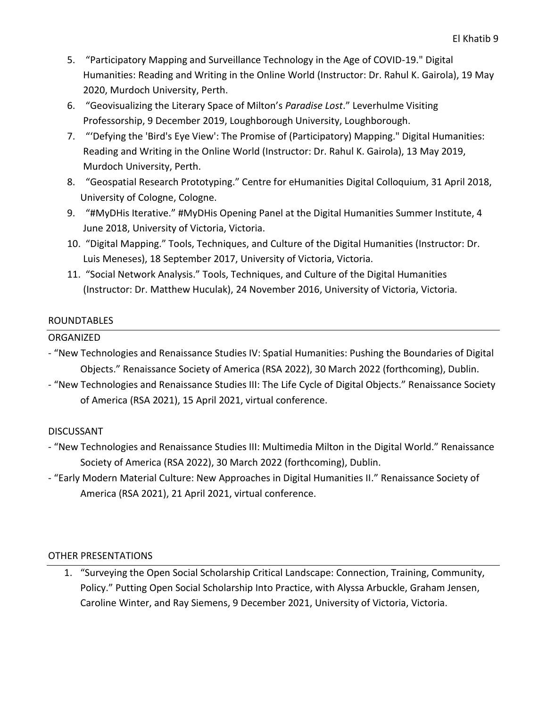- 5. "Participatory Mapping and Surveillance Technology in the Age of COVID-19." Digital Humanities: Reading and Writing in the Online World (Instructor: Dr. Rahul K. Gairola), 19 May 2020, Murdoch University, Perth.
- 6. "Geovisualizing the Literary Space of Milton's *Paradise Lost*." Leverhulme Visiting Professorship, 9 December 2019, Loughborough University, Loughborough.
- 7. "'Defying the 'Bird's Eye View': The Promise of (Participatory) Mapping." Digital Humanities: Reading and Writing in the Online World (Instructor: Dr. Rahul K. Gairola), 13 May 2019, Murdoch University, Perth.
- 8. "Geospatial Research Prototyping." Centre for eHumanities Digital Colloquium, 31 April 2018, University of Cologne, Cologne.
- 9. "#MyDHis Iterative." #MyDHis Opening Panel at the Digital Humanities Summer Institute, 4 June 2018, University of Victoria, Victoria.
- 10. "Digital Mapping." Tools, Techniques, and Culture of the Digital Humanities (Instructor: Dr. Luis Meneses), 18 September 2017, University of Victoria, Victoria.
- 11. "Social Network Analysis." Tools, Techniques, and Culture of the Digital Humanities (Instructor: Dr. Matthew Huculak), 24 November 2016, University of Victoria, Victoria.

#### ROUNDTABLES

### ORGANIZED

- "New Technologies and Renaissance Studies IV: Spatial Humanities: Pushing the Boundaries of Digital Objects." Renaissance Society of America (RSA 2022), 30 March 2022 (forthcoming), Dublin.
- "New Technologies and Renaissance Studies III: The Life Cycle of Digital Objects." Renaissance Society of America (RSA 2021), 15 April 2021, virtual conference.

# DISCUSSANT

- "New Technologies and Renaissance Studies III: Multimedia Milton in the Digital World." Renaissance Society of America (RSA 2022), 30 March 2022 (forthcoming), Dublin.
- "[Early Modern Material Culture: New Approaches in Digital Humanities II.](https://rsa.confex.com/rsa/21virtual/meetingapp.cgi/Session/4471)" Renaissance Society of America (RSA 2021), 21 April 2021, virtual conference.

#### OTHER PRESENTATIONS

1. "Surveying the Open Social Scholarship Critical Landscape: Connection, Training, Community, Policy." Putting Open Social Scholarship Into Practice, with Alyssa Arbuckle, Graham Jensen, Caroline Winter, and Ray Siemens, 9 December 2021, University of Victoria, Victoria.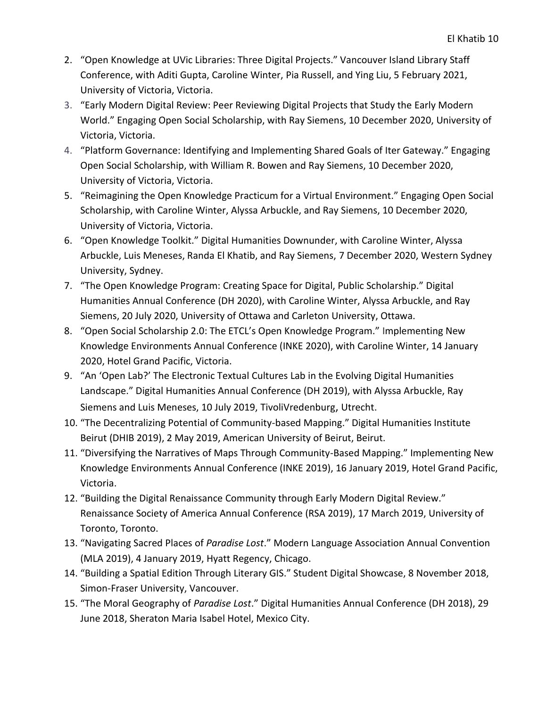- 2. "Open Knowledge at UVic Libraries: Three Digital Projects." Vancouver Island Library Staff Conference, with Aditi Gupta, Caroline Winter, Pia Russell, and Ying Liu, 5 February 2021, University of Victoria, Victoria.
- 3. "Early Modern Digital Review: Peer Reviewing Digital Projects that Study the Early Modern World." Engaging Open Social Scholarship, with Ray Siemens, 10 December 2020, University of Victoria, Victoria.
- 4. "Platform Governance: Identifying and Implementing Shared Goals of Iter Gateway." Engaging Open Social Scholarship, with William R. Bowen and Ray Siemens, 10 December 2020, University of Victoria, Victoria.
- 5. "Reimagining the Open Knowledge Practicum for a Virtual Environment." Engaging Open Social Scholarship, with Caroline Winter, Alyssa Arbuckle, and Ray Siemens, 10 December 2020, University of Victoria, Victoria.
- 6. "Open Knowledge Toolkit." Digital Humanities Downunder, with Caroline Winter, Alyssa Arbuckle, Luis Meneses, Randa El Khatib, and Ray Siemens, 7 December 2020, Western Sydney University, Sydney.
- 7. "The Open Knowledge Program: Creating Space for Digital, Public Scholarship." Digital Humanities Annual Conference (DH 2020), with Caroline Winter, Alyssa Arbuckle, and Ray Siemens, 20 July 2020, University of Ottawa and Carleton University, Ottawa.
- 8. "Open Social Scholarship 2.0: The ETCL's Open Knowledge Program." Implementing New Knowledge Environments Annual Conference (INKE 2020), with Caroline Winter, 14 January 2020, Hotel Grand Pacific, Victoria.
- 9. "An 'Open Lab?' The Electronic Textual Cultures Lab in the Evolving Digital Humanities Landscape." Digital Humanities Annual Conference (DH 2019), with Alyssa Arbuckle, Ray Siemens and Luis Meneses, 10 July 2019, TivoliVredenburg, Utrecht.
- 10. "The Decentralizing Potential of Community-based Mapping." Digital Humanities Institute Beirut (DHIB 2019), 2 May 2019, American University of Beirut, Beirut.
- 11. "Diversifying the Narratives of Maps Through Community-Based Mapping." Implementing New Knowledge Environments Annual Conference (INKE 2019), 16 January 2019, Hotel Grand Pacific, Victoria.
- 12. "Building the Digital Renaissance Community through Early Modern Digital Review." Renaissance Society of America Annual Conference (RSA 2019), 17 March 2019, University of Toronto, Toronto.
- 13. "Navigating Sacred Places of *Paradise Lost*." Modern Language Association Annual Convention (MLA 2019), 4 January 2019, Hyatt Regency, Chicago.
- 14. "Building a Spatial Edition Through Literary GIS." Student Digital Showcase, 8 November 2018, Simon-Fraser University, Vancouver.
- 15. "The Moral Geography of *Paradise Lost*." Digital Humanities Annual Conference (DH 2018), 29 June 2018, Sheraton Maria Isabel Hotel, Mexico City.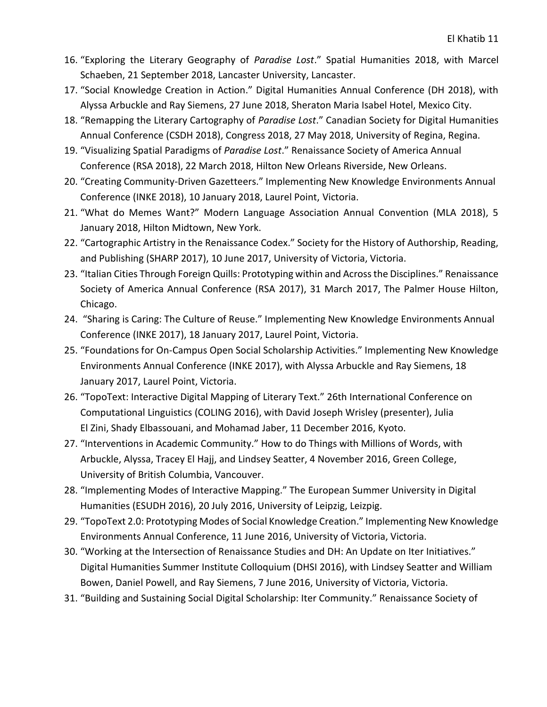- 16. "Exploring the Literary Geography of *Paradise Lost*." Spatial Humanities 2018, with Marcel Schaeben, 21 September 2018, Lancaster University, Lancaster.
- 17. "Social Knowledge Creation in Action." Digital Humanities Annual Conference (DH 2018), with Alyssa Arbuckle and Ray Siemens, 27 June 2018, Sheraton Maria Isabel Hotel, Mexico City.
- 18. "Remapping the Literary Cartography of *Paradise Lost*." Canadian Society for Digital Humanities Annual Conference (CSDH 2018), Congress 2018, 27 May 2018, University of Regina, Regina.
- 19. "Visualizing Spatial Paradigms of *Paradise Lost*." Renaissance Society of America Annual Conference (RSA 2018), 22 March 2018, Hilton New Orleans Riverside, New Orleans.
- 20. "Creating Community-Driven Gazetteers." Implementing New Knowledge Environments Annual Conference (INKE 2018), 10 January 2018, Laurel Point, Victoria.
- 21. "What do Memes Want?" Modern Language Association Annual Convention (MLA 2018), 5 January 2018, Hilton Midtown, New York.
- 22. "Cartographic Artistry in the Renaissance Codex." Society for the History of Authorship, Reading, and Publishing (SHARP 2017), 10 June 2017, University of Victoria, Victoria.
- 23. "Italian Cities Through Foreign Quills: Prototyping within and Across the Disciplines." Renaissance Society of America Annual Conference (RSA 2017), 31 March 2017, The Palmer House Hilton, Chicago.
- 24. "Sharing is Caring: The Culture of Reuse." Implementing New Knowledge Environments Annual Conference (INKE 2017), 18 January 2017, Laurel Point, Victoria.
- 25. "Foundations for On-Campus Open Social Scholarship Activities." Implementing New Knowledge Environments Annual Conference (INKE 2017), with Alyssa Arbuckle and Ray Siemens, 18 January 2017, Laurel Point, Victoria.
- 26. "TopoText: Interactive Digital Mapping of Literary Text." 26th International Conference on Computational Linguistics (COLING 2016), with David Joseph Wrisley (presenter), Julia El Zini, Shady Elbassouani, and Mohamad Jaber, 11 December 2016, Kyoto.
- 27. "Interventions in Academic Community." How to do Things with Millions of Words, with Arbuckle, Alyssa, Tracey El Hajj, and Lindsey Seatter, 4 November 2016, Green College, University of British Columbia, Vancouver.
- 28. "Implementing Modes of Interactive Mapping." The European Summer University in Digital Humanities (ESUDH 2016), 20 July 2016, University of Leipzig, Leizpig.
- 29. "TopoText 2.0: Prototyping Modes of Social Knowledge Creation." Implementing New Knowledge Environments Annual Conference, 11 June 2016, University of Victoria, Victoria.
- 30. "Working at the Intersection of Renaissance Studies and DH: An Update on Iter Initiatives." Digital Humanities Summer Institute Colloquium (DHSI 2016), with Lindsey Seatter and William Bowen, Daniel Powell, and Ray Siemens, 7 June 2016, University of Victoria, Victoria.
- 31. "Building and Sustaining Social Digital Scholarship: Iter Community." Renaissance Society of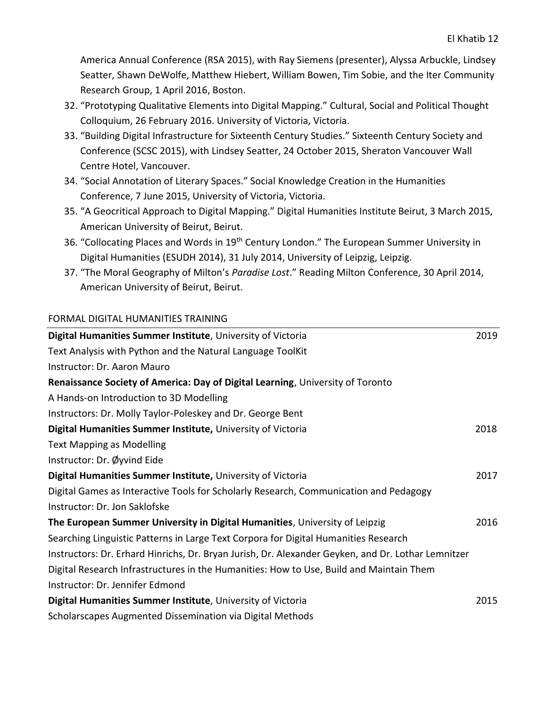America Annual Conference (RSA 2015), with Ray Siemens (presenter), Alyssa Arbuckle, Lindsey Seatter, Shawn DeWolfe, Matthew Hiebert, William Bowen, Tim Sobie, and the Iter Community Research Group, 1 April 2016, Boston.

- 32. "Prototyping Qualitative Elements into Digital Mapping." Cultural, Social and Political Thought Colloquium, 26 February 2016. University of Victoria, Victoria.
- 33. "Building Digital Infrastructure for Sixteenth Century Studies." Sixteenth Century Society and Conference (SCSC 2015), with Lindsey Seatter, 24 October 2015, Sheraton Vancouver Wall Centre Hotel, Vancouver.
- 34. "Social Annotation of Literary Spaces." Social Knowledge Creation in the Humanities Conference, 7 June 2015, University of Victoria, Victoria.
- 35. "A Geocritical Approach to Digital Mapping." Digital Humanities Institute Beirut, 3 March 2015, American University of Beirut, Beirut.
- 36. "Collocating Places and Words in 19<sup>th</sup> Century London." The European Summer University in Digital Humanities (ESUDH 2014), 31 July 2014, University of Leipzig, Leipzig.
- 37. "The Moral Geography of Milton's *Paradise Lost*." Reading Milton Conference, 30 April 2014, American University of Beirut, Beirut.

### FORMAL DIGITAL HUMANITIES TRAINING

| Digital Humanities Summer Institute, University of Victoria                                        | 2019 |
|----------------------------------------------------------------------------------------------------|------|
| Text Analysis with Python and the Natural Language ToolKit                                         |      |
| Instructor: Dr. Aaron Mauro                                                                        |      |
| Renaissance Society of America: Day of Digital Learning, University of Toronto                     |      |
| A Hands-on Introduction to 3D Modelling                                                            |      |
| Instructors: Dr. Molly Taylor-Poleskey and Dr. George Bent                                         |      |
| Digital Humanities Summer Institute, University of Victoria                                        | 2018 |
| <b>Text Mapping as Modelling</b>                                                                   |      |
| Instructor: Dr. Øyvind Eide                                                                        |      |
| Digital Humanities Summer Institute, University of Victoria                                        | 2017 |
| Digital Games as Interactive Tools for Scholarly Research, Communication and Pedagogy              |      |
| Instructor: Dr. Jon Saklofske                                                                      |      |
| The European Summer University in Digital Humanities, University of Leipzig                        | 2016 |
| Searching Linguistic Patterns in Large Text Corpora for Digital Humanities Research                |      |
| Instructors: Dr. Erhard Hinrichs, Dr. Bryan Jurish, Dr. Alexander Geyken, and Dr. Lothar Lemnitzer |      |
| Digital Research Infrastructures in the Humanities: How to Use, Build and Maintain Them            |      |
| Instructor: Dr. Jennifer Edmond                                                                    |      |
| Digital Humanities Summer Institute, University of Victoria                                        | 2015 |
| Scholarscapes Augmented Dissemination via Digital Methods                                          |      |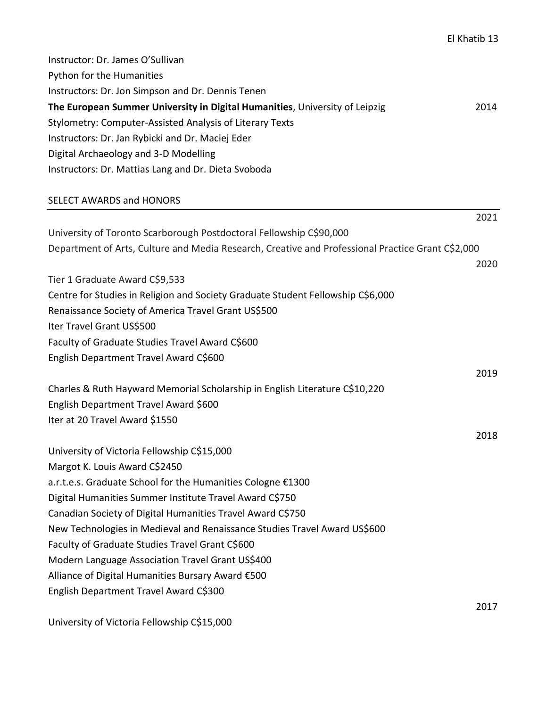| Instructor: Dr. James O'Sullivan                                                                  |      |
|---------------------------------------------------------------------------------------------------|------|
| Python for the Humanities                                                                         |      |
| Instructors: Dr. Jon Simpson and Dr. Dennis Tenen                                                 |      |
| The European Summer University in Digital Humanities, University of Leipzig                       | 2014 |
| Stylometry: Computer-Assisted Analysis of Literary Texts                                          |      |
| Instructors: Dr. Jan Rybicki and Dr. Maciej Eder                                                  |      |
| Digital Archaeology and 3-D Modelling                                                             |      |
| Instructors: Dr. Mattias Lang and Dr. Dieta Svoboda                                               |      |
| <b>SELECT AWARDS and HONORS</b>                                                                   |      |
|                                                                                                   | 2021 |
| University of Toronto Scarborough Postdoctoral Fellowship C\$90,000                               |      |
| Department of Arts, Culture and Media Research, Creative and Professional Practice Grant C\$2,000 |      |
|                                                                                                   | 2020 |
| Tier 1 Graduate Award C\$9,533                                                                    |      |
| Centre for Studies in Religion and Society Graduate Student Fellowship C\$6,000                   |      |
| Renaissance Society of America Travel Grant US\$500                                               |      |
| Iter Travel Grant US\$500                                                                         |      |
| Faculty of Graduate Studies Travel Award C\$600                                                   |      |
| English Department Travel Award C\$600                                                            |      |
|                                                                                                   | 2019 |
| Charles & Ruth Hayward Memorial Scholarship in English Literature C\$10,220                       |      |
| English Department Travel Award \$600                                                             |      |
| Iter at 20 Travel Award \$1550                                                                    |      |
|                                                                                                   | 2018 |
| University of Victoria Fellowship C\$15,000                                                       |      |
| Margot K. Louis Award C\$2450<br>a.r.t.e.s. Graduate School for the Humanities Cologne €1300      |      |
| Digital Humanities Summer Institute Travel Award C\$750                                           |      |
| Canadian Society of Digital Humanities Travel Award C\$750                                        |      |
| New Technologies in Medieval and Renaissance Studies Travel Award US\$600                         |      |
| Faculty of Graduate Studies Travel Grant C\$600                                                   |      |
| Modern Language Association Travel Grant US\$400                                                  |      |
| Alliance of Digital Humanities Bursary Award €500                                                 |      |
| English Department Travel Award C\$300                                                            |      |
|                                                                                                   | 2017 |

University of Victoria Fellowship C\$15,000